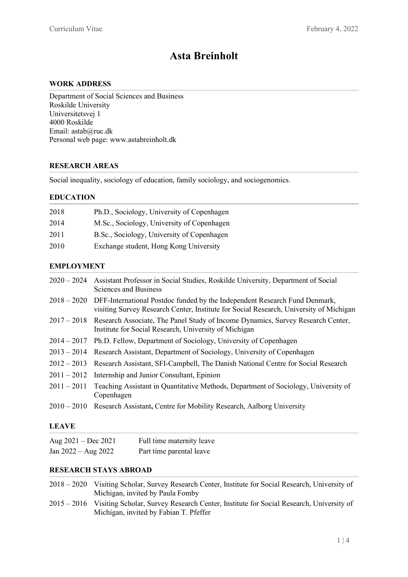# **Asta Breinholt**

## **WORK ADDRESS**

Department of Social Sciences and Business Roskilde University Universitetsvej 1 4000 Roskilde Email: astab@ruc.dk Personal web page: www.astabreinholt.dk

#### **RESEARCH AREAS**

Social inequality, sociology of education, family sociology, and sociogenomics.

## **EDUCATION**

| 2018 | Ph.D., Sociology, University of Copenhagen |
|------|--------------------------------------------|
| 2014 | M.Sc., Sociology, University of Copenhagen |
| 2011 | B.Sc., Sociology, University of Copenhagen |
| 2010 | Exchange student, Hong Kong University     |

# **EMPLOYMENT**

| 2020 – 2024 Assistant Professor in Social Studies, Roskilde University, Department of Social<br>Sciences and Business                                                            |
|----------------------------------------------------------------------------------------------------------------------------------------------------------------------------------|
| 2018 – 2020 DFF-International Postdoc funded by the Independent Research Fund Denmark,<br>visiting Survey Research Center, Institute for Social Research, University of Michigan |
| 2017 – 2018 Research Associate, The Panel Study of Income Dynamics, Survey Research Center,<br>Institute for Social Research, University of Michigan                             |
| 2014 – 2017 Ph.D. Fellow, Department of Sociology, University of Copenhagen                                                                                                      |
| 2013 – 2014 Research Assistant, Department of Sociology, University of Copenhagen                                                                                                |
| 2012 – 2013 Research Assistant, SFI-Campbell, The Danish National Centre for Social Research                                                                                     |
| $2011 - 2012$ Internship and Junior Consultant, Epinion                                                                                                                          |
| 2011 – 2011 Teaching Assistant in Quantitative Methods, Department of Sociology, University of<br>Copenhagen                                                                     |
| 2010 – 2010 Research Assistant, Centre for Mobility Research, Aalborg University                                                                                                 |

## **LEAVE**

| Aug $2021 - Dec 2021$ | Full time maternity leave |
|-----------------------|---------------------------|
| Jan $2022 - Aug 2022$ | Part time parental leave  |

# **RESEARCH STAYS ABROAD**

- 2018 2020 Visiting Scholar, Survey Research Center, Institute for Social Research, University of Michigan, invited by Paula Fomby
- 2015 2016 Visiting Scholar, Survey Research Center, Institute for Social Research, University of Michigan, invited by Fabian T. Pfeffer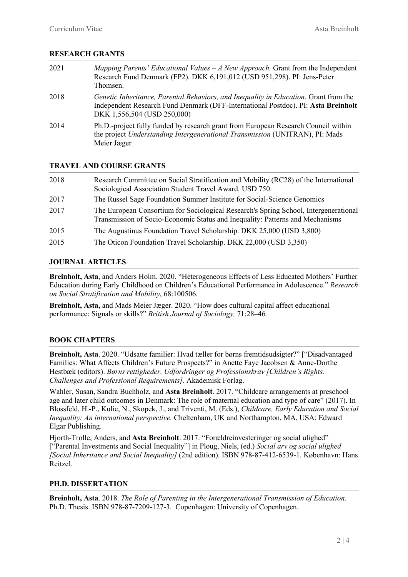## **RESEARCH GRANTS**

| 2021 | Mapping Parents' Educational Values $-A$ New Approach. Grant from the Independent<br>Research Fund Denmark (FP2). DKK 6,191,012 (USD 951,298). PI: Jens-Peter<br>Thomsen.                                |
|------|----------------------------------------------------------------------------------------------------------------------------------------------------------------------------------------------------------|
| 2018 | Genetic Inheritance, Parental Behaviors, and Inequality in Education. Grant from the<br>Independent Research Fund Denmark (DFF-International Postdoc). PI: Asta Breinholt<br>DKK 1,556,504 (USD 250,000) |
| 2014 | Ph.D.-project fully funded by research grant from European Research Council within<br>the project Understanding Intergenerational Transmission (UNITRAN), PI: Mads<br>Meier Jæger                        |

## **TRAVEL AND COURSE GRANTS**

| 2018 | Research Committee on Social Stratification and Mobility (RC28) of the International<br>Sociological Association Student Travel Award. USD 750.                       |
|------|-----------------------------------------------------------------------------------------------------------------------------------------------------------------------|
| 2017 | The Russel Sage Foundation Summer Institute for Social-Science Genomics                                                                                               |
| 2017 | The European Consortium for Sociological Research's Spring School, Intergenerational<br>Transmission of Socio-Economic Status and Inequality: Patterns and Mechanisms |
| 2015 | The Augustinus Foundation Travel Scholarship. DKK 25,000 (USD 3,800)                                                                                                  |
| 2015 | The Oticon Foundation Travel Scholarship. DKK 22,000 (USD 3,350)                                                                                                      |

## **JOURNAL ARTICLES**

**Breinholt, Asta**, and Anders Holm. 2020. "Heterogeneous Effects of Less Educated Mothers' Further Education during Early Childhood on Children's Educational Performance in Adolescence." *Research on Social Stratification and Mobility*, 68:100506.

**Breinholt, Asta,** and Mads Meier Jæger. 2020. "How does cultural capital affect educational performance: Signals or skills?" *British Journal of Sociology,* 71:28–46*.*

# **BOOK CHAPTERS**

**Breinholt, Asta**. 2020. "Udsatte familier: Hvad tæller for børns fremtidsudsigter?" ["Disadvantaged Families: What Affects Children's Future Prospects?" in Anette Faye Jacobsen & Anne-Dorthe Hestbæk (editors). *Børns rettigheder. Udfordringer og Professionskrav [Children's Rights. Challenges and Professional Requirements].* Akademisk Forlag.

Wahler, Susan, Sandra Buchholz, and **Asta Breinholt**. 2017. "Childcare arrangements at preschool age and later child outcomes in Denmark: The role of maternal education and type of care" (2017). In Blossfeld, H.-P., Kulic, N., Skopek, J., and Triventi, M. (Eds.), *Childcare, Early Education and Social Inequality: An international perspective.* Cheltenham, UK and Northampton, MA, USA: Edward Elgar Publishing.

Hjorth-Trolle, Anders, and **Asta Breinholt**. 2017. "Forældreinvesteringer og social ulighed" ["Parental Investments and Social Inequality"] in Ploug, Niels, (ed.) *Social arv og social ulighed [Social Inheritance and Social Inequality]* (2nd edition). ISBN 978-87-412-6539-1. København: Hans Reitzel.

## **PH.D. DISSERTATION**

**Breinholt, Asta**. 2018. *The Role of Parenting in the Intergenerational Transmission of Education.*  Ph.D. Thesis. ISBN 978-87-7209-127-3. Copenhagen: University of Copenhagen.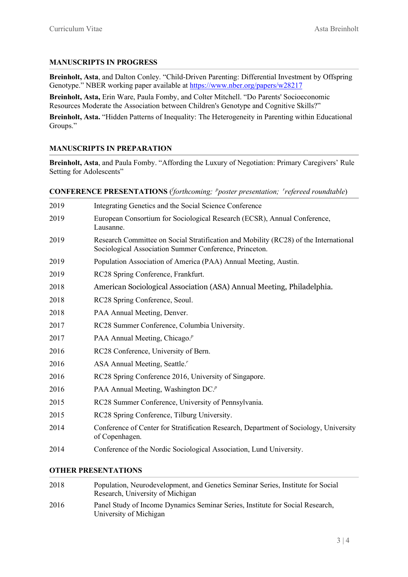## **MANUSCRIPTS IN PROGRESS**

**Breinholt, Asta**, and Dalton Conley. "Child-Driven Parenting: Differential Investment by Offspring Genotype." NBER working paper available at<https://www.nber.org/papers/w28217>

**Breinholt, Asta,** Erin Ware, Paula Fomby, and Colter Mitchell. "Do Parents' Socioeconomic Resources Moderate the Association between Children's Genotype and Cognitive Skills?"

**Breinholt, Asta.** "Hidden Patterns of Inequality: The Heterogeneity in Parenting within Educational Groups."

#### **MANUSCRIPTS IN PREPARATION**

**Breinholt, Asta**, and Paula Fomby. "Affording the Luxury of Negotiation: Primary Caregivers' Rule Setting for Adolescents"

**CONFERENCE PRESENTATIONS** ( *f forthcoming; <sup>p</sup> poster presentation; <sup>r</sup> refereed roundtable*)

| 2019 | Integrating Genetics and the Social Science Conference                                                                                         |
|------|------------------------------------------------------------------------------------------------------------------------------------------------|
| 2019 | European Consortium for Sociological Research (ECSR), Annual Conference,<br>Lausanne.                                                          |
| 2019 | Research Committee on Social Stratification and Mobility (RC28) of the International<br>Sociological Association Summer Conference, Princeton. |
| 2019 | Population Association of America (PAA) Annual Meeting, Austin.                                                                                |
| 2019 | RC28 Spring Conference, Frankfurt.                                                                                                             |
| 2018 | American Sociological Association (ASA) Annual Meeting, Philadelphia.                                                                          |
| 2018 | RC28 Spring Conference, Seoul.                                                                                                                 |
| 2018 | PAA Annual Meeting, Denver.                                                                                                                    |
| 2017 | RC28 Summer Conference, Columbia University.                                                                                                   |
| 2017 | PAA Annual Meeting, Chicago. <sup><i>p</i></sup>                                                                                               |
| 2016 | RC28 Conference, University of Bern.                                                                                                           |
| 2016 | ASA Annual Meeting, Seattle."                                                                                                                  |
| 2016 | RC28 Spring Conference 2016, University of Singapore.                                                                                          |
| 2016 | PAA Annual Meeting, Washington DC. <sup><i>p</i></sup>                                                                                         |
| 2015 | RC28 Summer Conference, University of Pennsylvania.                                                                                            |
| 2015 | RC28 Spring Conference, Tilburg University.                                                                                                    |
| 2014 | Conference of Center for Stratification Research, Department of Sociology, University<br>of Copenhagen.                                        |
| 2014 | Conference of the Nordic Sociological Association, Lund University.                                                                            |

# **OTHER PRESENTATIONS**

| 2018 | Population, Neurodevelopment, and Genetics Seminar Series, Institute for Social<br>Research, University of Michigan |
|------|---------------------------------------------------------------------------------------------------------------------|
| 2016 | Panel Study of Income Dynamics Seminar Series, Institute for Social Research,<br>University of Michigan             |